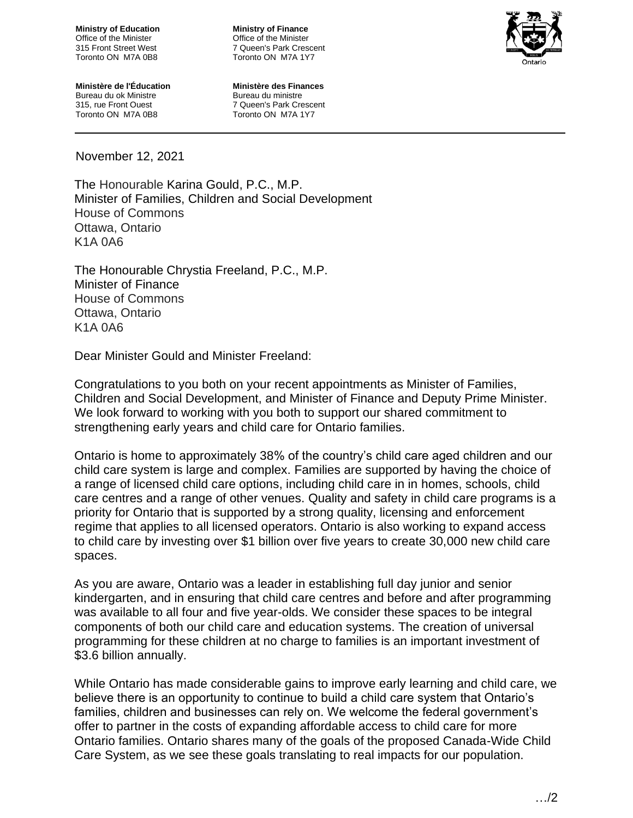**Ministry of Education** Office of the Minister 315 Front Street West Toronto ON M7A 0B8

**Ministry of Finance** Office of the Minister 7 Queen's Park Crescent Toronto ON M7A 1Y7



**Ministère de l'Éducation** Bureau du ok Ministre 315, rue Front Ouest Toronto ON M7A 0B8

**Ministère des Finances** Bureau du ministre 7 Queen's Park Crescent Toronto ON M7A 1Y7

November 12, 2021

The Honourable Karina Gould, P.C., M.P. Minister of Families, Children and Social Development House of Commons Ottawa, Ontario K1A 0A6

The Honourable Chrystia Freeland, P.C., M.P. Minister of Finance House of Commons Ottawa, Ontario K1A 0A6

Dear Minister Gould and Minister Freeland:

Congratulations to you both on your recent appointments as Minister of Families, Children and Social Development, and Minister of Finance and Deputy Prime Minister. We look forward to working with you both to support our shared commitment to strengthening early years and child care for Ontario families.

Ontario is home to approximately 38% of the country's child care aged children and our child care system is large and complex. Families are supported by having the choice of a range of licensed child care options, including child care in in homes, schools, child care centres and a range of other venues. Quality and safety in child care programs is a priority for Ontario that is supported by a strong quality, licensing and enforcement regime that applies to all licensed operators. Ontario is also working to expand access to child care by investing over \$1 billion over five years to create 30,000 new child care spaces.

As you are aware, Ontario was a leader in establishing full day junior and senior kindergarten, and in ensuring that child care centres and before and after programming was available to all four and five year-olds. We consider these spaces to be integral components of both our child care and education systems. The creation of universal programming for these children at no charge to families is an important investment of \$3.6 billion annually.

While Ontario has made considerable gains to improve early learning and child care, we believe there is an opportunity to continue to build a child care system that Ontario's families, children and businesses can rely on. We welcome the federal government's offer to partner in the costs of expanding affordable access to child care for more Ontario families. Ontario shares many of the goals of the proposed Canada-Wide Child Care System, as we see these goals translating to real impacts for our population.